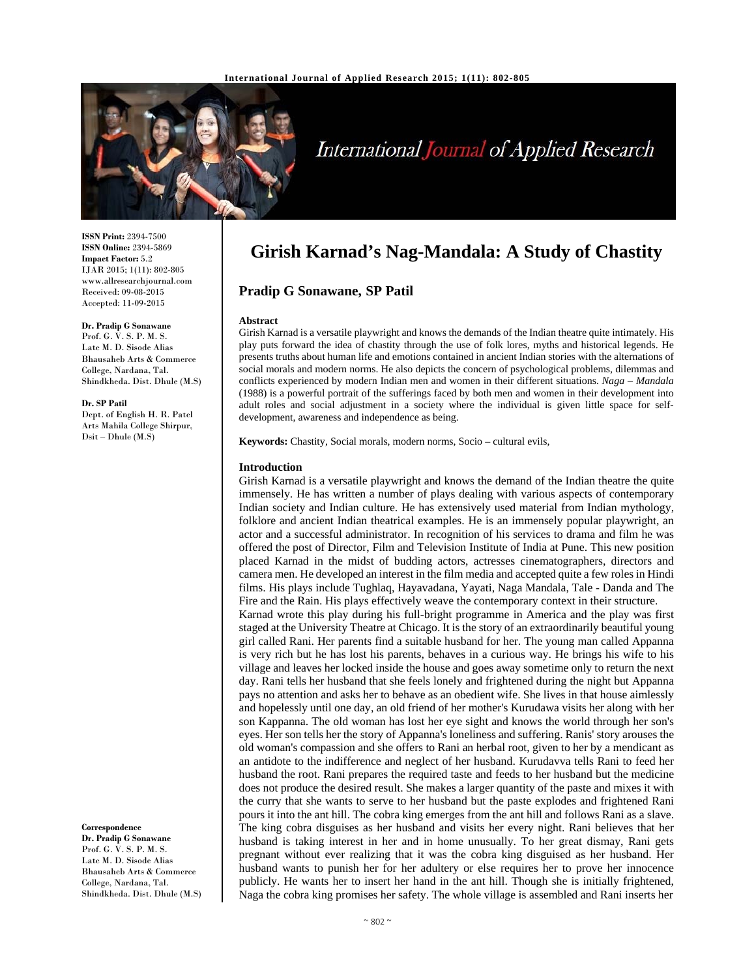

# International Journal of Applied Research

**ISSN Print:** 2394-7500 **ISSN Online:** 2394-5869 **Impact Factor:** 5.2 IJAR 2015; 1(11): 802-805 www.allresearchjournal.com Received: 09-08-2015 Accepted: 11-09-2015

**Dr. Pradip G Sonawane**  Prof. G. V. S. P. M. S. Late M. D. Sisode Alias Bhausaheb Arts & Commerce College, Nardana, Tal. Shindkheda. Dist. Dhule (M.S)

**Dr. SP Patil**  Dept. of English H. R. Patel Arts Mahila College Shirpur, Dsit – Dhule (M.S)

**Correspondence**

**Dr. Pradip G Sonawane**  Prof. G. V. S. P. M. S. Late M. D. Sisode Alias Bhausaheb Arts & Commerce College, Nardana, Tal. Shindkheda. Dist. Dhule (M.S)

# **Girish Karnad's Nag-Mandala: A Study of Chastity**

**Pradip G Sonawane, SP Patil** 

#### **Abstract**

Girish Karnad is a versatile playwright and knows the demands of the Indian theatre quite intimately. His play puts forward the idea of chastity through the use of folk lores, myths and historical legends. He presents truths about human life and emotions contained in ancient Indian stories with the alternations of social morals and modern norms. He also depicts the concern of psychological problems, dilemmas and conflicts experienced by modern Indian men and women in their different situations. *Naga – Mandala* (1988) is a powerful portrait of the sufferings faced by both men and women in their development into adult roles and social adjustment in a society where the individual is given little space for selfdevelopment, awareness and independence as being.

**Keywords:** Chastity, Social morals, modern norms, Socio – cultural evils,

#### **Introduction**

Girish Karnad is a versatile playwright and knows the demand of the Indian theatre the quite immensely. He has written a number of plays dealing with various aspects of contemporary Indian society and Indian culture. He has extensively used material from Indian mythology, folklore and ancient Indian theatrical examples. He is an immensely popular playwright, an actor and a successful administrator. In recognition of his services to drama and film he was offered the post of Director, Film and Television Institute of India at Pune. This new position placed Karnad in the midst of budding actors, actresses cinematographers, directors and camera men. He developed an interest in the film media and accepted quite a few roles in Hindi films. His plays include Tughlaq, Hayavadana, Yayati, Naga Mandala, Tale - Danda and The Fire and the Rain. His plays effectively weave the contemporary context in their structure. Karnad wrote this play during his full-bright programme in America and the play was first staged at the University Theatre at Chicago. It is the story of an extraordinarily beautiful young girl called Rani. Her parents find a suitable husband for her. The young man called Appanna is very rich but he has lost his parents, behaves in a curious way. He brings his wife to his village and leaves her locked inside the house and goes away sometime only to return the next day. Rani tells her husband that she feels lonely and frightened during the night but Appanna pays no attention and asks her to behave as an obedient wife. She lives in that house aimlessly and hopelessly until one day, an old friend of her mother's Kurudawa visits her along with her son Kappanna. The old woman has lost her eye sight and knows the world through her son's eyes. Her son tells her the story of Appanna's loneliness and suffering. Ranis' story arouses the old woman's compassion and she offers to Rani an herbal root, given to her by a mendicant as an antidote to the indifference and neglect of her husband. Kurudavva tells Rani to feed her husband the root. Rani prepares the required taste and feeds to her husband but the medicine does not produce the desired result. She makes a larger quantity of the paste and mixes it with the curry that she wants to serve to her husband but the paste explodes and frightened Rani pours it into the ant hill. The cobra king emerges from the ant hill and follows Rani as a slave. The king cobra disguises as her husband and visits her every night. Rani believes that her husband is taking interest in her and in home unusually. To her great dismay, Rani gets pregnant without ever realizing that it was the cobra king disguised as her husband. Her husband wants to punish her for her adultery or else requires her to prove her innocence publicly. He wants her to insert her hand in the ant hill. Though she is initially frightened, Naga the cobra king promises her safety. The whole village is assembled and Rani inserts her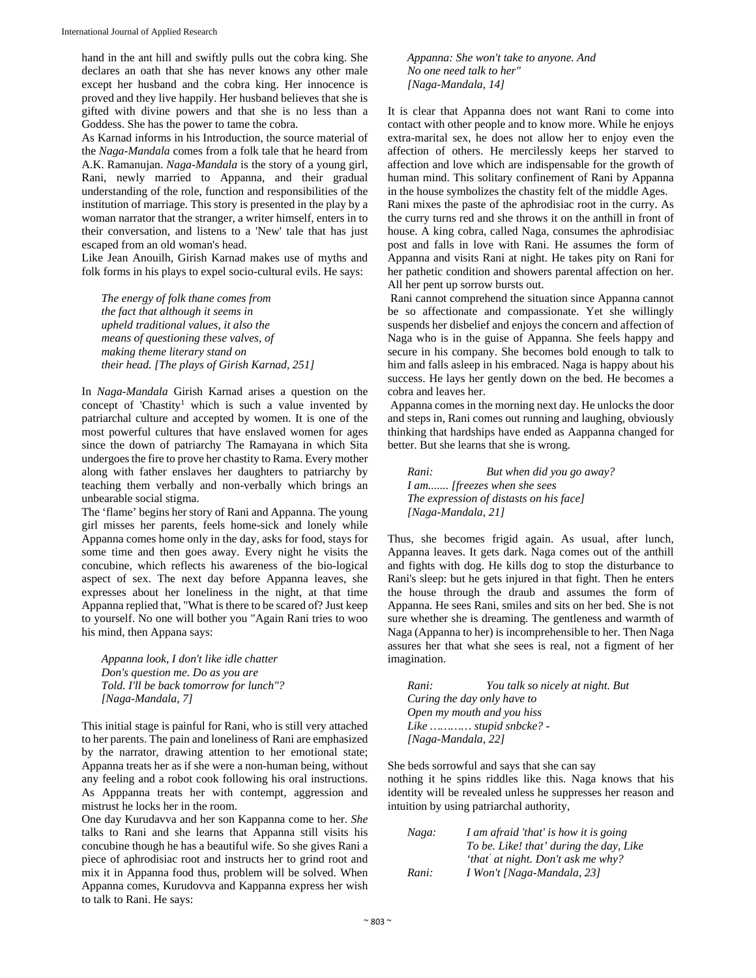hand in the ant hill and swiftly pulls out the cobra king. She declares an oath that she has never knows any other male except her husband and the cobra king. Her innocence is proved and they live happily. Her husband believes that she is gifted with divine powers and that she is no less than a Goddess. She has the power to tame the cobra.

As Karnad informs in his Introduction, the source material of the *Naga-Mandala* comes from a folk tale that he heard from A.K. Ramanujan. *Naga-Mandala* is the story of a young girl, Rani, newly married to Appanna, and their gradual understanding of the role, function and responsibilities of the institution of marriage. This story is presented in the play by a woman narrator that the stranger, a writer himself, enters in to their conversation, and listens to a 'New' tale that has just escaped from an old woman's head.

Like Jean Anouilh, Girish Karnad makes use of myths and folk forms in his plays to expel socio-cultural evils. He says:

*The energy of folk thane comes from the fact that although it seems in upheld traditional values, it also the means of questioning these valves, of making theme literary stand on their head. [The plays of Girish Karnad, 251]* 

In *Naga-Mandala* Girish Karnad arises a question on the concept of 'Chastity<sup>1</sup> which is such a value invented by patriarchal culture and accepted by women. It is one of the most powerful cultures that have enslaved women for ages since the down of patriarchy The Ramayana in which Sita undergoes the fire to prove her chastity to Rama. Every mother along with father enslaves her daughters to patriarchy by teaching them verbally and non-verbally which brings an unbearable social stigma.

The 'flame' begins her story of Rani and Appanna. The young girl misses her parents, feels home-sick and lonely while Appanna comes home only in the day, asks for food, stays for some time and then goes away. Every night he visits the concubine, which reflects his awareness of the bio-logical aspect of sex. The next day before Appanna leaves, she expresses about her loneliness in the night, at that time Appanna replied that, "What is there to be scared of? Just keep to yourself. No one will bother you "Again Rani tries to woo his mind, then Appana says:

*Appanna look, I don't like idle chatter Don's question me. Do as you are Told. I'll be back tomorrow for lunch"? [Naga-Mandala, 7]* 

This initial stage is painful for Rani, who is still very attached to her parents. The pain and loneliness of Rani are emphasized by the narrator, drawing attention to her emotional state; Appanna treats her as if she were a non-human being, without any feeling and a robot cook following his oral instructions. As Apppanna treats her with contempt, aggression and mistrust he locks her in the room.

One day Kurudavva and her son Kappanna come to her. *She*  talks to Rani and she learns that Appanna still visits his concubine though he has a beautiful wife. So she gives Rani a piece of aphrodisiac root and instructs her to grind root and mix it in Appanna food thus, problem will be solved. When Appanna comes, Kurudovva and Kappanna express her wish to talk to Rani. He says:

*Appanna: She won't take to anyone. And No one need talk to her" [Naga-Mandala, 14]*

It is clear that Appanna does not want Rani to come into contact with other people and to know more. While he enjoys extra-marital sex, he does not allow her to enjoy even the affection of others. He mercilessly keeps her starved to affection and love which are indispensable for the growth of human mind. This solitary confinement of Rani by Appanna in the house symbolizes the chastity felt of the middle Ages. Rani mixes the paste of the aphrodisiac root in the curry. As the curry turns red and she throws it on the anthill in front of house. A king cobra, called Naga, consumes the aphrodisiac post and falls in love with Rani. He assumes the form of Appanna and visits Rani at night. He takes pity on Rani for her pathetic condition and showers parental affection on her. All her pent up sorrow bursts out.

 Rani cannot comprehend the situation since Appanna cannot be so affectionate and compassionate. Yet she willingly suspends her disbelief and enjoys the concern and affection of Naga who is in the guise of Appanna. She feels happy and secure in his company. She becomes bold enough to talk to him and falls asleep in his embraced. Naga is happy about his success. He lays her gently down on the bed. He becomes a cobra and leaves her.

Appanna comes in the morning next day. He unlocks the door and steps in, Rani comes out running and laughing, obviously thinking that hardships have ended as Aappanna changed for better. But she learns that she is wrong.

*Rani: But when did you go away? I am....... [freezes when she sees The expression of distasts on his face] [Naga-Mandala, 21]* 

Thus, she becomes frigid again. As usual, after lunch, Appanna leaves. It gets dark. Naga comes out of the anthill and fights with dog. He kills dog to stop the disturbance to Rani's sleep: but he gets injured in that fight. Then he enters the house through the draub and assumes the form of Appanna. He sees Rani, smiles and sits on her bed. She is not sure whether she is dreaming. The gentleness and warmth of Naga (Appanna to her) is incomprehensible to her. Then Naga assures her that what she sees is real, not a figment of her imagination.

| Rani:                       | You talk so nicely at night. But        |
|-----------------------------|-----------------------------------------|
| Curing the day only have to |                                         |
| Open my mouth and you hiss  |                                         |
|                             | Like $\ldots$ $\ldots$ stupid snbcke? - |
| [Naga-Mandala, 22]          |                                         |

She beds sorrowful and says that she can say nothing it he spins riddles like this. Naga knows that his identity will be revealed unless he suppresses her reason and intuition by using patriarchal authority,

| Naga: | I am afraid 'that' is how it is going   |
|-------|-----------------------------------------|
|       | To be. Like! that' during the day, Like |
|       | 'that' at night. Don't ask me why?      |
| Rani: | I Won't [Naga-Mandala, 23]              |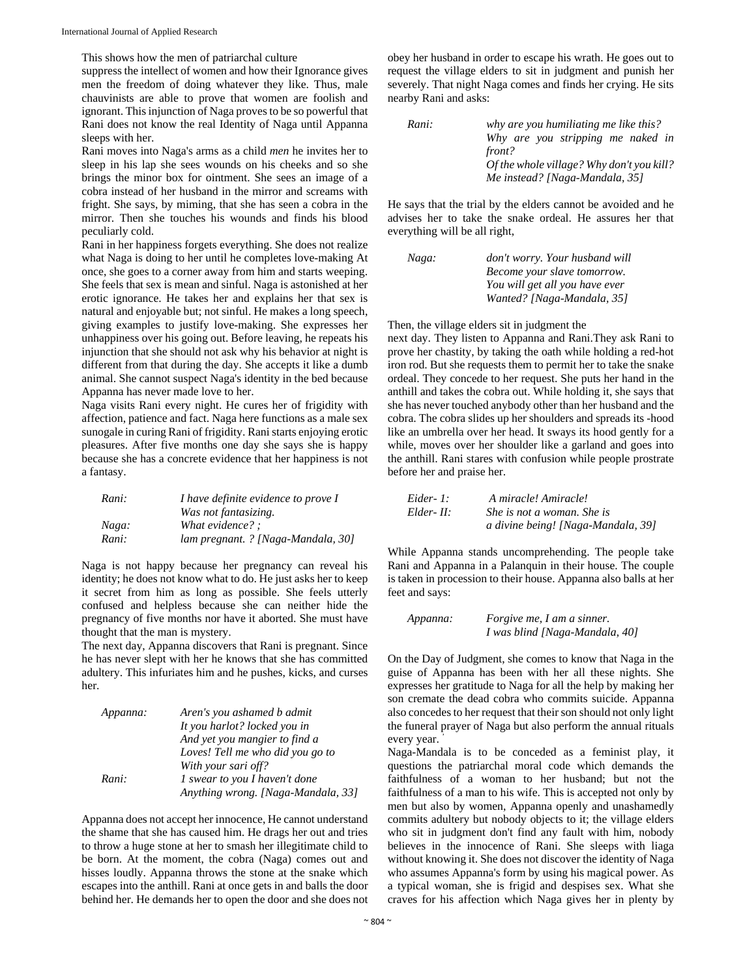This shows how the men of patriarchal culture

suppress the intellect of women and how their Ignorance gives men the freedom of doing whatever they like. Thus, male chauvinists are able to prove that women are foolish and ignorant. This injunction of Naga proves to be so powerful that Rani does not know the real Identity of Naga until Appanna sleeps with her.

Rani moves into Naga's arms as a child *men* he invites her to sleep in his lap she sees wounds on his cheeks and so she brings the minor box for ointment. She sees an image of a cobra instead of her husband in the mirror and screams with fright. She says, by miming, that she has seen a cobra in the mirror. Then she touches his wounds and finds his blood peculiarly cold.

Rani in her happiness forgets everything. She does not realize what Naga is doing to her until he completes love-making At once, she goes to a corner away from him and starts weeping. She feels that sex is mean and sinful. Naga is astonished at her erotic ignorance. He takes her and explains her that sex is natural and enjoyable but; not sinful. He makes a long speech, giving examples to justify love-making. She expresses her unhappiness over his going out. Before leaving, he repeats his injunction that she should not ask why his behavior at night is different from that during the day. She accepts it like a dumb animal. She cannot suspect Naga's identity in the bed because Appanna has never made love to her.

Naga visits Rani every night. He cures her of frigidity with affection, patience and fact. Naga here functions as a male sex sunogale in curing Rani of frigidity. Rani starts enjoying erotic pleasures. After five months one day she says she is happy because she has a concrete evidence that her happiness is not a fantasy.

| Rani: | I have definite evidence to prove I |
|-------|-------------------------------------|
|       | Was not fantasizing.                |
| Naga: | What evidence? :                    |
| Rani: | lam pregnant. ? [Naga-Mandala, 30]  |

Naga is not happy because her pregnancy can reveal his identity; he does not know what to do. He just asks her to keep it secret from him as long as possible. She feels utterly confused and helpless because she can neither hide the pregnancy of five months nor have it aborted. She must have thought that the man is mystery.

The next day, Appanna discovers that Rani is pregnant. Since he has never slept with her he knows that she has committed adultery. This infuriates him and he pushes, kicks, and curses her.

| Appanna: | Aren's you ashamed b admit         |
|----------|------------------------------------|
|          | It you harlot? locked you in       |
|          | And yet you mangier to find a      |
|          | Loves! Tell me who did you go to   |
|          | With your sari off?                |
| Rani:    | 1 swear to you I haven't done      |
|          | Anything wrong. [Naga-Mandala, 33] |

Appanna does not accept her innocence, He cannot understand the shame that she has caused him. He drags her out and tries to throw a huge stone at her to smash her illegitimate child to be born. At the moment, the cobra (Naga) comes out and hisses loudly. Appanna throws the stone at the snake which escapes into the anthill. Rani at once gets in and balls the door behind her. He demands her to open the door and she does not obey her husband in order to escape his wrath. He goes out to request the village elders to sit in judgment and punish her severely. That night Naga comes and finds her crying. He sits nearby Rani and asks:

| Rani: | why are you humiliating me like this?     |
|-------|-------------------------------------------|
|       | Why are you stripping me naked in         |
|       | front?                                    |
|       | Of the whole village? Why don't you kill? |
|       | Me instead? [Naga-Mandala, 35]            |

He says that the trial by the elders cannot be avoided and he advises her to take the snake ordeal. He assures her that everything will be all right,

| Naga: | don't worry. Your husband will |
|-------|--------------------------------|
|       | Become your slave tomorrow.    |
|       | You will get all you have ever |
|       | Wanted? [Naga-Mandala, 35]     |

### Then, the village elders sit in judgment the

next day. They listen to Appanna and Rani.They ask Rani to prove her chastity, by taking the oath while holding a red-hot iron rod. But she requests them to permit her to take the snake ordeal. They concede to her request. She puts her hand in the anthill and takes the cobra out. While holding it, she says that she has never touched anybody other than her husband and the cobra. The cobra slides up her shoulders and spreads its -hood like an umbrella over her head. It sways its hood gently for a while, moves over her shoulder like a garland and goes into the anthill. Rani stares with confusion while people prostrate before her and praise her.

| Eider- 1:  | A miracle! Amiracle!               |
|------------|------------------------------------|
| Elder- II: | She is not a woman. She is         |
|            | a divine being! [Naga-Mandala, 39] |

While Appanna stands uncomprehending. The people take Rani and Appanna in a Palanquin in their house. The couple is taken in procession to their house. Appanna also balls at her feet and says:

| Appanna: | <i>Forgive me, I am a sinner.</i> |
|----------|-----------------------------------|
|          | I was blind [Naga-Mandala, 40]    |

On the Day of Judgment, she comes to know that Naga in the guise of Appanna has been with her all these nights. She expresses her gratitude to Naga for all the help by making her son cremate the dead cobra who commits suicide. Appanna also concedes to her request that their son should not only light the funeral prayer of Naga but also perform the annual rituals every year.

Naga-Mandala is to be conceded as a feminist play, it questions the patriarchal moral code which demands the faithfulness of a woman to her husband; but not the faithfulness of a man to his wife. This is accepted not only by men but also by women, Appanna openly and unashamedly commits adultery but nobody objects to it; the village elders who sit in judgment don't find any fault with him, nobody believes in the innocence of Rani. She sleeps with liaga without knowing it. She does not discover the identity of Naga who assumes Appanna's form by using his magical power. As a typical woman, she is frigid and despises sex. What she craves for his affection which Naga gives her in plenty by